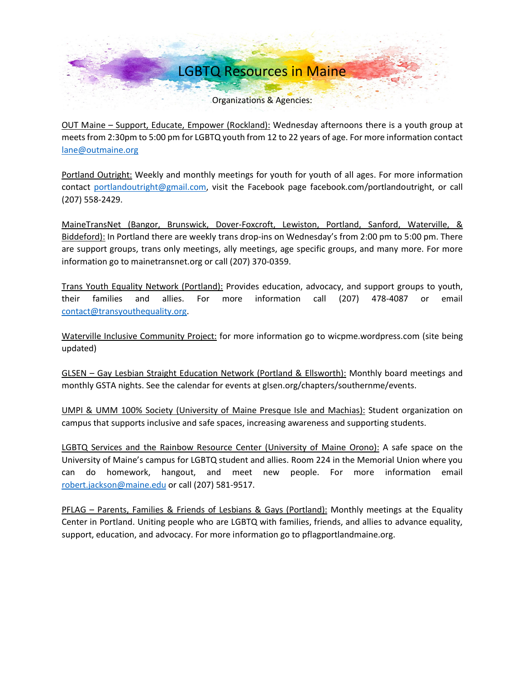Organizations & Agencies:

OUT Maine – Support, Educate, Empower (Rockland): Wednesday afternoons there is a youth group at meets from 2:30pm to 5:00 pm for LGBTQ youth from 12 to 22 years of age. For more information contact [lane@outmaine.org](mailto:lane@outmaine.org)

Portland Outright: Weekly and monthly meetings for youth for youth of all ages. For more information contact [portlandoutright@gmail.com,](mailto:portlandoutright@gmail.com) visit the Facebook page facebook.com/portlandoutright, or call (207) 558-2429.

MaineTransNet (Bangor, Brunswick, Dover-Foxcroft, Lewiston, Portland, Sanford, Waterville, & Biddeford): In Portland there are weekly trans drop-ins on Wednesday's from 2:00 pm to 5:00 pm. There are support groups, trans only meetings, ally meetings, age specific groups, and many more. For more information go to mainetransnet.org or call (207) 370-0359.

Trans Youth Equality Network (Portland): Provides education, advocacy, and support groups to youth, their families and allies. For more information call (207) 478-4087 or email [contact@transyouthequality.org.](mailto:contact@transyouthequality.org)

Waterville Inclusive Community Project: for more information go to wicpme.wordpress.com (site being updated)

GLSEN – Gay Lesbian Straight Education Network (Portland & Ellsworth): Monthly board meetings and monthly GSTA nights. See the calendar for events at glsen.org/chapters/southernme/events.

UMPI & UMM 100% Society (University of Maine Presque Isle and Machias): Student organization on campus that supports inclusive and safe spaces, increasing awareness and supporting students.

LGBTQ Services and the Rainbow Resource Center (University of Maine Orono): A safe space on the University of Maine's campus for LGBTQ student and allies. Room 224 in the Memorial Union where you can do homework, hangout, and meet new people. For more information email [robert.jackson@maine.edu](mailto:robert.jackson@maine.edu) or call (207) 581-9517.

PFLAG – Parents, Families & Friends of Lesbians & Gays (Portland): Monthly meetings at the Equality Center in Portland. Uniting people who are LGBTQ with families, friends, and allies to advance equality, support, education, and advocacy. For more information go to pflagportlandmaine.org.